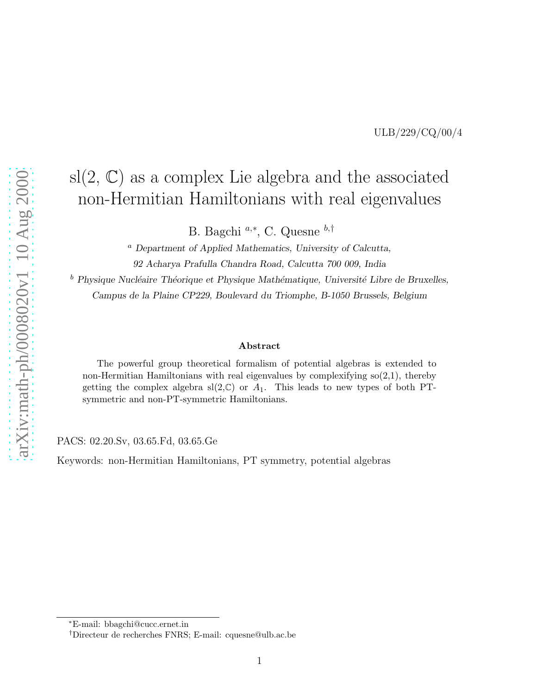# sl $(2, \mathbb{C})$  as a complex Lie algebra and the associated non-Hermitian Hamiltonians with real eigenvalues

B. Bagchi<sup>a,∗</sup>, C. Quesne <sup>b,†</sup>

<sup>a</sup> Department of Applied Mathematics, University of Calcutta, 92 Acharya Prafulla Chandra Road, Calcutta 700 009, India

 $^b$  Physique Nucléaire Théorique et Physique Mathématique, Université Libre de Bruxelles, Campus de la Plaine CP229, Boulevard du Triomphe, B-1050 Brussels, Belgium

#### Abstract

The powerful group theoretical formalism of potential algebras is extended to non-Hermitian Hamiltonians with real eigenvalues by complexifying  $\mathfrak{so}(2,1)$ , thereby getting the complex algebra  $sl(2,\mathbb{C})$  or  $A_1$ . This leads to new types of both PTsymmetric and non-PT-symmetric Hamiltonians.

PACS: 02.20.Sv, 03.65.Fd, 03.65.Ge

Keywords: non-Hermitian Hamiltonians, PT symmetry, potential algebras

<sup>∗</sup>E-mail: bbagchi@cucc.ernet.in

<sup>†</sup>Directeur de recherches FNRS; E-mail: cquesne@ulb.ac.be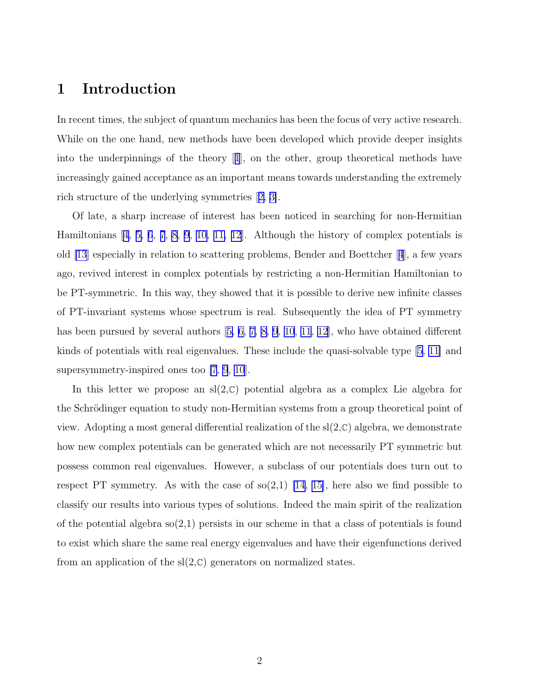## 1 Introduction

In recent times, the subject of quantum mechanics has been the focus of very active research. While on the one hand, new methods have been developed which provide deeper insights into the underpinnings of the theory[[1](#page-12-0)], on the other, group theoretical methods have increasingly gained acceptance as an important means towards understanding the extremely rich structure of the underlying symmetries[[2, 3\]](#page-12-0).

Of late, a sharp increase of interest has been noticed in searching for non-Hermitian Hamiltonians[[4, 5, 6](#page-12-0), [7](#page-12-0), [8](#page-12-0), [9](#page-12-0), [10, 11, 12](#page-12-0)]. Although the history of complex potentials is old [\[13](#page-12-0)] especially in relation to scattering problems, Bender and Boettcher[[4](#page-12-0)], a few years ago, revived interest in complex potentials by restricting a non-Hermitian Hamiltonian to be PT-symmetric. In this way, they showed that it is possible to derive new infinite classes of PT-invariant systems whose spectrum is real. Subsequently the idea of PT symmetry hasbeen pursued by several authors [[5, 6, 7, 8, 9](#page-12-0), [10](#page-12-0), [11, 12\]](#page-12-0), who have obtained different kinds of potentials with real eigenvalues. These include the quasi-solvable type [\[5](#page-12-0), [11\]](#page-12-0) and supersymmetry-inspired ones too [\[7](#page-12-0), [9](#page-12-0), [10](#page-12-0)].

In this letter we propose an  $sl(2,\mathbb{C})$  potential algebra as a complex Lie algebra for the Schrödinger equation to study non-Hermitian systems from a group theoretical point of view. Adopting a most general differential realization of the  $sl(2,\mathbb{C})$  algebra, we demonstrate how new complex potentials can be generated which are not necessarily PT symmetric but possess common real eigenvalues. However, a subclass of our potentials does turn out to respect PT symmetry. As with the case of  $\text{so}(2,1)$  [\[14](#page-12-0), [15\]](#page-12-0), here also we find possible to classify our results into various types of solutions. Indeed the main spirit of the realization of the potential algebra  $\mathfrak{so}(2,1)$  persists in our scheme in that a class of potentials is found to exist which share the same real energy eigenvalues and have their eigenfunctions derived from an application of the  $sl(2,\mathbb{C})$  generators on normalized states.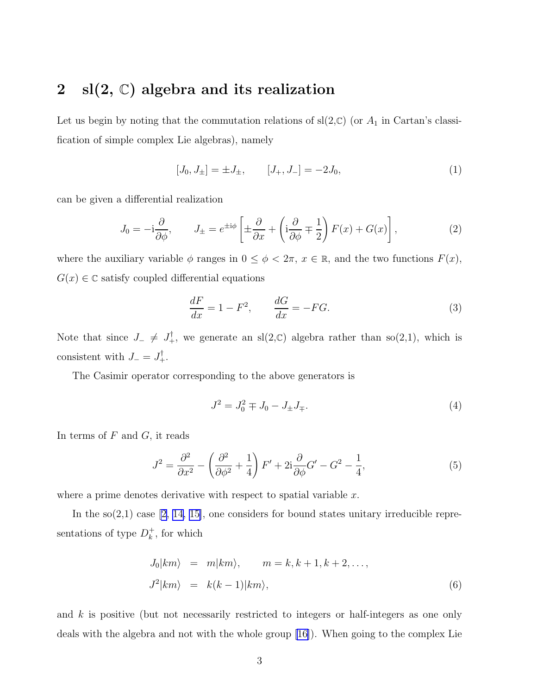# <span id="page-2-0"></span>2 sl $(2, \mathbb{C})$  algebra and its realization

Let us begin by noting that the commutation relations of  $sl(2,\mathbb{C})$  (or  $A_1$  in Cartan's classification of simple complex Lie algebras), namely

$$
[J_0, J_{\pm}] = \pm J_{\pm}, \qquad [J_+, J_-] = -2J_0,\tag{1}
$$

can be given a differential realization

$$
J_0 = -\mathrm{i}\frac{\partial}{\partial\phi}, \qquad J_\pm = e^{\pm\mathrm{i}\phi} \left[ \pm \frac{\partial}{\partial x} + \left( \mathrm{i}\frac{\partial}{\partial\phi} \mp \frac{1}{2} \right) F(x) + G(x) \right],\tag{2}
$$

where the auxiliary variable  $\phi$  ranges in  $0 \leq \phi < 2\pi$ ,  $x \in \mathbb{R}$ , and the two functions  $F(x)$ ,  $G(x) \in \mathbb{C}$  satisfy coupled differential equations

$$
\frac{dF}{dx} = 1 - F^2, \qquad \frac{dG}{dx} = -FG.
$$
\n(3)

Note that since  $J_- \neq J_+^{\dagger}$ , we generate an sl(2,C) algebra rather than so(2,1), which is consistent with  $J_-=J_+^{\dagger}$ .

The Casimir operator corresponding to the above generators is

$$
J^2 = J_0^2 \mp J_0 - J_{\pm} J_{\mp}.
$$
\n(4)

In terms of  $F$  and  $G$ , it reads

$$
J^2 = \frac{\partial^2}{\partial x^2} - \left(\frac{\partial^2}{\partial \phi^2} + \frac{1}{4}\right)F' + 2i\frac{\partial}{\partial \phi}G' - G^2 - \frac{1}{4},\tag{5}
$$

where a prime denotes derivative with respect to spatial variable  $x$ .

In the  $\mathfrak{so}(2,1)$  case  $[2, 14, 15]$ , one considers for bound states unitary irreducible representations of type  $D_k^+$ , for which

$$
J_0|km\rangle = m|km\rangle, \qquad m = k, k+1, k+2, \dots,
$$
  

$$
J^2|km\rangle = k(k-1)|km\rangle,
$$
 (6)

and  $k$  is positive (but not necessarily restricted to integers or half-integers as one only deals with the algebra and not with the whole group [\[16\]](#page-12-0)). When going to the complex Lie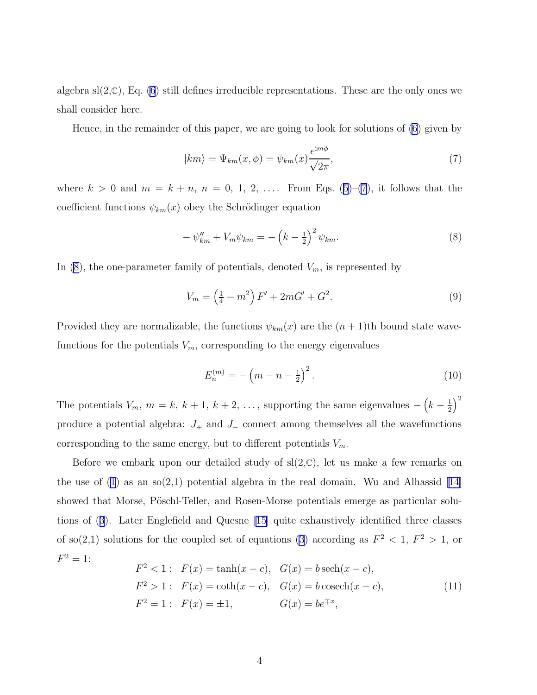<span id="page-3-0"></span>algebra  $sl(2,\mathbb{C})$ , Eq. [\(6](#page-2-0)) still defines irreducible representations. These are the only ones we shall consider here.

Hence, in the remainder of this paper, we are going to look for solutions of [\(6](#page-2-0)) given by

$$
|km\rangle = \Psi_{km}(x,\phi) = \psi_{km}(x)\frac{e^{im\phi}}{\sqrt{2\pi}},
$$
\n(7)

where $k > 0$  and  $m = k + n$ ,  $n = 0, 1, 2, \ldots$ . From Eqs. ([5](#page-2-0))–(7), it follows that the coefficient functions  $\psi_{km}(x)$  obey the Schrödinger equation

$$
-\psi''_{km} + V_m \psi_{km} = -\left(k - \frac{1}{2}\right)^2 \psi_{km}.
$$
\n(8)

In  $(8)$ , the one-parameter family of potentials, denoted  $V_m$ , is represented by

$$
V_m = \left(\frac{1}{4} - m^2\right)F' + 2mG' + G^2.
$$
\n(9)

Provided they are normalizable, the functions  $\psi_{km}(x)$  are the  $(n+1)$ th bound state wavefunctions for the potentials  $V_m$ , corresponding to the energy eigenvalues

$$
E_n^{(m)} = -\left(m - n - \frac{1}{2}\right)^2.
$$
\n(10)

The potentials  $V_m$ ,  $m = k$ ,  $k + 1$ ,  $k + 2$ , ..., supporting the same eigenvalues  $-\left(k - \frac{1}{2}\right)$  $\frac{1}{2}\Big)^2$ produce a potential algebra:  $J_+$  and  $J_-$  connect among themselves all the wavefunctions corresponding to the same energy, but to different potentials  $V_m$ .

Before we embark upon our detailed study of  $sl(2,\mathbb{C})$ , let us make a few remarks on the use of  $(1)$  as an so $(2,1)$  potential algebra in the real domain. Wu and Alhassid [\[14\]](#page-12-0) showed that Morse, Pöschl-Teller, and Rosen-Morse potentials emerge as particular solutions of([3](#page-2-0)). Later Englefield and Quesne [\[15\]](#page-12-0) quite exhaustively identified three classes of so(2,1) solutions for the coupled set of equations [\(3](#page-2-0)) according as  $F^2 < 1$ ,  $F^2 > 1$ , or  $F^2 = 1$ :

$$
F^{2} < 1: F(x) = \tanh(x - c), G(x) = b \sech(x - c),
$$
  
\n
$$
F^{2} > 1: F(x) = \coth(x - c), G(x) = b \operatorname{cosech}(x - c),
$$
  
\n
$$
F^{2} = 1: F(x) = \pm 1, G(x) = be^{\mp x},
$$
\n(11)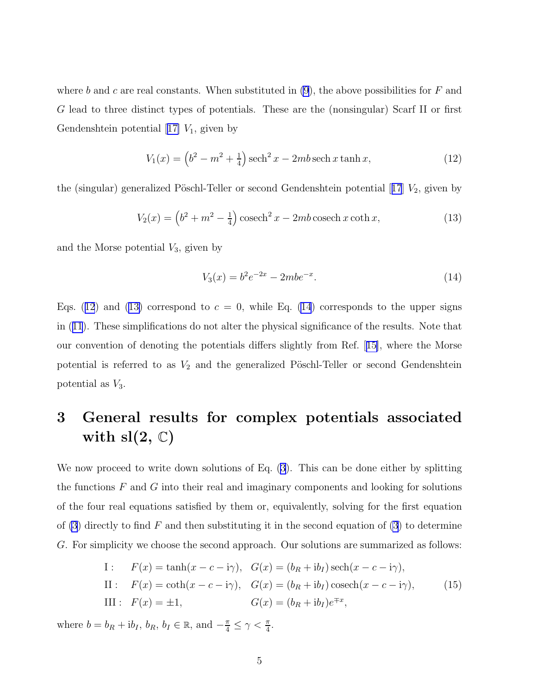<span id="page-4-0"></span>where b and c are real constants. When substituted in  $(9)$ , the above possibilities for F and G lead to three distinct types of potentials. These are the (nonsingular) Scarf II or first Gendenshteinpotential  $[17]$  $[17]$   $V_1$ , given by

$$
V_1(x) = \left(b^2 - m^2 + \frac{1}{4}\right) \operatorname{sech}^2 x - 2mb \operatorname{sech} x \tanh x,\tag{12}
$$

the(singular) generalized Pöschl-Teller or second Gendenshtein potential  $[17]$  $[17]$  $[17]$   $V_2$ , given by

$$
V_2(x) = \left(b^2 + m^2 - \frac{1}{4}\right)\cosech^2 x - 2mb\cosech x \coth x,\tag{13}
$$

and the Morse potential  $V_3$ , given by

$$
V_3(x) = b^2 e^{-2x} - 2mbe^{-x}.
$$
\n(14)

Eqs. (12) and (13) correspond to  $c = 0$ , while Eq. (14) corresponds to the upper signs in([11](#page-3-0)). These simplifications do not alter the physical significance of the results. Note that our convention of denoting the potentials differs slightly from Ref.[[15\]](#page-12-0), where the Morse potential is referred to as  $V_2$  and the generalized Pöschl-Teller or second Gendenshtein potential as  $V_3$ .

# 3 General results for complex potentials associated with  $sl(2,\,\mathbb{C})$

We now proceed to write down solutions of Eq. [\(3\)](#page-2-0). This can be done either by splitting the functions  $F$  and  $G$  into their real and imaginary components and looking for solutions of the four real equations satisfied by them or, equivalently, solving for the first equation of  $(3)$  directly to find F and then substituting it in the second equation of  $(3)$  to determine G. For simplicity we choose the second approach. Our solutions are summarized as follows:

I: 
$$
F(x) = \tanh(x - c - i\gamma)
$$
,  $G(x) = (b_R + ib_I)\operatorname{sech}(x - c - i\gamma)$ ,  
\nII:  $F(x) = \coth(x - c - i\gamma)$ ,  $G(x) = (b_R + ib_I)\operatorname{cosech}(x - c - i\gamma)$ , (15)  
\nIII:  $F(x) = \pm 1$ ,  $G(x) = (b_R + ib_I)e^{\mp x}$ ,

where  $b = b_R + ib_I$ ,  $b_R$ ,  $b_I \in \mathbb{R}$ , and  $-\frac{\pi}{4} \leq \gamma < \frac{\pi}{4}$ .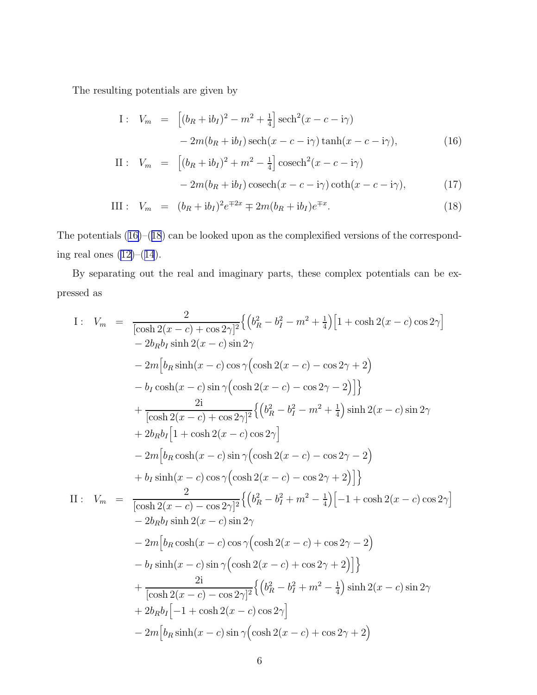<span id="page-5-0"></span>The resulting potentials are given by

I: 
$$
V_m = \left[ (b_R + ib_I)^2 - m^2 + \frac{1}{4} \right] \operatorname{sech}^2(x - c - i\gamma)
$$
  
-  $2m(b_R + ib_I) \operatorname{sech}(x - c - i\gamma) \tanh(x - c - i\gamma),$  (16)

II: 
$$
V_m = \left[ (b_R + ib_I)^2 + m^2 - \frac{1}{4} \right] \csch^2(x - c - i\gamma)
$$
  
-  $2m(b_R + ib_I) \csch(x - c - i\gamma) \coth(x - c - i\gamma),$  (17)

III: 
$$
V_m = (b_R + ib_I)^2 e^{\mp 2x} \mp 2m(b_R + ib_I) e^{\mp x}
$$
. (18)

The potentials (16)–(18) can be looked upon as the complexified versions of the correspondingreal ones  $(12)–(14)$  $(12)–(14)$  $(12)–(14)$  $(12)–(14)$  $(12)–(14)$ .

By separating out the real and imaginary parts, these complex potentials can be expressed as

I: 
$$
V_m = \frac{2}{[\cosh 2(x - c) + \cos 2\gamma]^2} \left\{ (b_R^2 - b_I^2 - m^2 + \frac{1}{4}) [1 + \cosh 2(x - c) \cos 2\gamma] -2b_R b_I \sinh 2(x - c) \sin 2\gamma -2m [b_R \sinh (x - c) \cos \gamma (\cosh 2(x - c) - \cos 2\gamma + 2) - b_I \cosh (x - c) \sin \gamma (\cosh 2(x - c) - \cos 2\gamma - 2)] \right\}
$$
  
+  $\frac{2i}{[\cosh 2(x - c) + \cos 2\gamma]^2} \left\{ (b_R^2 - b_I^2 - m^2 + \frac{1}{4}) \sinh 2(x - c) \sin 2\gamma + 2b_R b_I [1 + \cosh 2(x - c) \cos 2\gamma] -2m [b_R \cosh (x - c) \sin \gamma (\cosh 2(x - c) - \cos 2\gamma + 2)] \right\}$   
II:  $V_m = \frac{2}{[\cosh 2(x - c) - \cos 2\gamma]^2} \left\{ (b_R^2 - b_I^2 + m^2 - \frac{1}{4}) [-1 + \cosh 2(x - c) \cos 2\gamma] -2b_R b_I \sinh 2(x - c) \sin 2\gamma -2m [b_R \cosh (x - c) \cos \gamma (\cosh 2(x - c) + \cos 2\gamma - 2) - b_I \sinh 2(x - c) \sin 2\gamma -2m [b_R \cosh (x - c) \cos \gamma (\cosh 2(x - c) + \cos 2\gamma + 2)] \right\}$   
+  $\frac{2i}{[\cosh 2(x - c) - \cos 2\gamma]^2} \left\{ (b_R^2 - b_I^2 + m^2 - \frac{1}{4}) \sinh 2(x - c) \sin 2\gamma + 2b_R b_I [-1 + \cosh 2(x - c) \cos 2\gamma] -2m [b_R \sinh (x - c) \sin \gamma (\cosh 2(x - c) + \cos 2\gamma + 2) -2m [b_R \sinh (x - c) \sin \gamma (\cosh 2(x - c) + \cos 2\gamma + 2)] -2m [b_R \sinh (x - c) \sin \gamma (\cosh 2(x - c) + \cos 2\gamma + 2)]$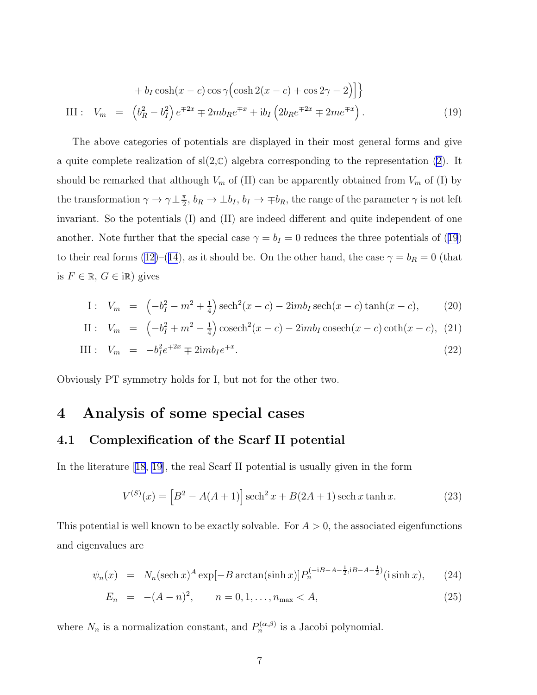<span id="page-6-0"></span>
$$
+ b_I \cosh(x - c) \cos \gamma \left(\cosh 2(x - c) + \cos 2\gamma - 2\right)\right\}
$$
  
III: 
$$
V_m = \left(b_R^2 - b_I^2\right) e^{\mp 2x} \mp 2mb_R e^{\mp x} + ib_I \left(2b_R e^{\mp 2x} \mp 2me^{\mp x}\right).
$$
 (19)

The above categories of potentials are displayed in their most general forms and give aquite complete realization of  $sl(2,\mathbb{C})$  algebra corresponding to the representation ([2\)](#page-2-0). It should be remarked that although  $V_m$  of (II) can be apparently obtained from  $V_m$  of (I) by the transformation  $\gamma \to \gamma \pm \frac{\pi}{2}$  $\frac{\pi}{2}$ ,  $b_R \to \pm b_I$ ,  $b_I \to \mp b_R$ , the range of the parameter  $\gamma$  is not left invariant. So the potentials (I) and (II) are indeed different and quite independent of one another.Note further that the special case  $\gamma = b_I = 0$  reduces the three potentials of ([19](#page-5-0)) totheir real forms ([12\)](#page-4-0)–([14](#page-4-0)), as it should be. On the other hand, the case  $\gamma = b_R = 0$  (that is  $F \in \mathbb{R}, G \in \mathbb{R}$ ) gives

I: 
$$
V_m = \left(-b_I^2 - m^2 + \frac{1}{4}\right) \operatorname{sech}^2(x - c) - 2\mathrm{i}m b_I \operatorname{sech}(x - c) \tanh(x - c),
$$
 (20)

II: 
$$
V_m = \left(-b_I^2 + m^2 - \frac{1}{4}\right) \csch^2(x-c) - 2imb_I \csch(x-c) \coth(x-c),
$$
 (21)

III: 
$$
V_m = -b_I^2 e^{\mp 2x} \mp 2 \text{im} b_I e^{\mp x}
$$
. (22)

Obviously PT symmetry holds for I, but not for the other two.

## 4 Analysis of some special cases

#### 4.1 Complexification of the Scarf II potential

In the literature [\[18](#page-13-0), [19\]](#page-13-0), the real Scarf II potential is usually given in the form

$$
V^{(S)}(x) = [B^2 - A(A+1)] \operatorname{sech}^2 x + B(2A+1) \operatorname{sech} x \tanh x.
$$
 (23)

This potential is well known to be exactly solvable. For  $A > 0$ , the associated eigenfunctions and eigenvalues are

$$
\psi_n(x) = N_n(\text{sech } x)^A \exp[-B \arctan(\sinh x)] P_n^{(-iB-A-\frac{1}{2},iB-A-\frac{1}{2})}(\text{i} \sinh x), \quad (24)
$$

$$
E_n = -(A - n)^2, \qquad n = 0, 1, \dots, n_{\text{max}} < A,
$$
\n(25)

where  $N_n$  is a normalization constant, and  $P_n^{(\alpha,\beta)}$  is a Jacobi polynomial.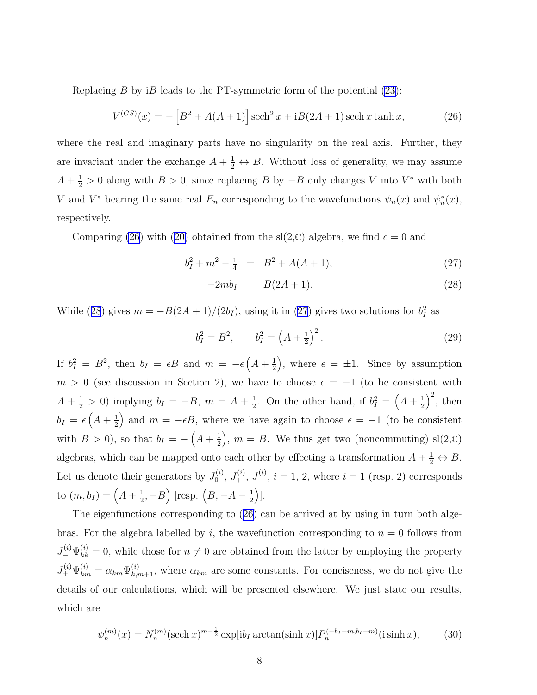<span id="page-7-0"></span>Replacing B by iB leads to the PT-symmetric form of the potential  $(23)$ :

$$
V^{(CS)}(x) = -[B^2 + A(A+1)] \operatorname{sech}^2 x + iB(2A+1) \operatorname{sech} x \tanh x, \tag{26}
$$

where the real and imaginary parts have no singularity on the real axis. Further, they are invariant under the exchange  $A + \frac{1}{2} \leftrightarrow B$ . Without loss of generality, we may assume  $A + \frac{1}{2} > 0$  along with  $B > 0$ , since replacing B by  $-B$  only changes V into V<sup>\*</sup> with both V and  $V^*$  bearing the same real  $E_n$  corresponding to the wavefunctions  $\psi_n(x)$  and  $\psi_n^*(x)$ , respectively.

Comparing(26) with ([20\)](#page-6-0) obtained from the sl(2,C) algebra, we find  $c = 0$  and

$$
b_I^2 + m^2 - \frac{1}{4} = B^2 + A(A+1), \tag{27}
$$

$$
-2mb_I = B(2A+1). \t(28)
$$

While (28) gives  $m = -B(2A + 1)/(2b_I)$ , using it in (27) gives two solutions for  $b_I^2$  as

$$
b_I^2 = B^2, \qquad b_I^2 = \left(A + \frac{1}{2}\right)^2. \tag{29}
$$

If  $b_I^2 = B^2$ , then  $b_I = \epsilon B$  and  $m = -\epsilon \left(A + \frac{1}{2}\right)$  $(\frac{1}{2})$ , where  $\epsilon = \pm 1$ . Since by assumption  $m > 0$  (see discussion in Section 2), we have to choose  $\epsilon = -1$  (to be consistent with  $A + \frac{1}{2} > 0$ ) implying  $b_I = -B$ ,  $m = A + \frac{1}{2}$  $\frac{1}{2}$ . On the other hand, if  $b_I^2 = \left(A + \frac{1}{2}\right)$  $\left(\frac{1}{2}\right)^2$ , then  $b_I = \epsilon \left(A + \frac{1}{2}\right)$  $\left(\frac{1}{2}\right)$  and  $m = -\epsilon B$ , where we have again to choose  $\epsilon = -1$  (to be consistent with  $B > 0$ , so that  $b_I = -\left(A + \frac{1}{2}\right)$  $(\frac{1}{2})$ ,  $m = B$ . We thus get two (noncommuting) sl(2,C) algebras, which can be mapped onto each other by effecting a transformation  $A + \frac{1}{2} \leftrightarrow B$ . Let us denote their generators by  $J_0^{(i)}$  $J_0^{(i)}$ ,  $J_+^{(i)}$ ,  $J_-^{(i)}$ ,  $i = 1, 2$ , where  $i = 1$  (resp. 2) corresponds to  $(m, b) = (A + \frac{1}{2})$  $(\frac{1}{2}, -B)$  [resp.  $(B, -A - \frac{1}{2})$  $\frac{1}{2}$ )].

The eigenfunctions corresponding to (26) can be arrived at by using in turn both algebras. For the algebra labelled by i, the wavefunction corresponding to  $n = 0$  follows from  $J_-^{(i)}\Psi_{kk}^{(i)}=0$ , while those for  $n\neq 0$  are obtained from the latter by employing the property  $J_+^{(i)}\Psi_{km}^{(i)} = \alpha_{km}\Psi_{k,m+1}^{(i)}$ , where  $\alpha_{km}$  are some constants. For conciseness, we do not give the details of our calculations, which will be presented elsewhere. We just state our results, which are

$$
\psi_n^{(m)}(x) = N_n^{(m)}(\text{sech } x)^{m - \frac{1}{2}} \exp[i b_I \arctan(\sinh x)] P_n^{(-b_I - m, b_I - m)}(\text{i} \sinh x),\tag{30}
$$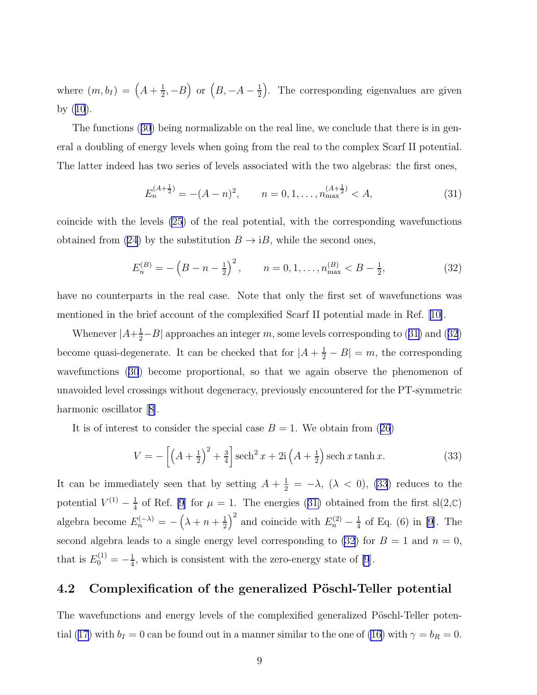where  $(m, b) = (A + \frac{1}{2})$  $(\frac{1}{2}, -B)$  or  $(B, -A - \frac{1}{2})$  $\frac{1}{2}$ . The corresponding eigenvalues are given by([10](#page-3-0)).

The functions([30](#page-7-0)) being normalizable on the real line, we conclude that there is in general a doubling of energy levels when going from the real to the complex Scarf II potential. The latter indeed has two series of levels associated with the two algebras: the first ones,

$$
E_n^{(A+\frac{1}{2})} = -(A-n)^2, \qquad n = 0, 1, \dots, n_{\text{max}}^{(A+\frac{1}{2})} < A,\tag{31}
$$

coincide with the levels [\(25](#page-6-0)) of the real potential, with the corresponding wavefunctions obtained from [\(24\)](#page-6-0) by the substitution  $B \to iB$ , while the second ones,

$$
E_n^{(B)} = -\left(B - n - \frac{1}{2}\right)^2, \qquad n = 0, 1, \dots, n_{\text{max}}^{(B)} < B - \frac{1}{2},\tag{32}
$$

have no counterparts in the real case. Note that only the first set of wavefunctions was mentioned in the brief account of the complexified Scarf II potential made in Ref. [\[10\]](#page-12-0).

Whenever  $|A+\frac{1}{2}-B|$  approaches an integer m, some levels corresponding to (31) and (32) become quasi-degenerate. It can be checked that for  $|A + \frac{1}{2} - B| = m$ , the corresponding wavefunctions([30](#page-7-0)) become proportional, so that we again observe the phenomenon of unavoided level crossings without degeneracy, previously encountered for the PT-symmetric harmonicoscillator [[8\]](#page-12-0).

Itis of interest to consider the special case  $B = 1$ . We obtain from ([26](#page-7-0))

$$
V = -\left[\left(A + \frac{1}{2}\right)^2 + \frac{3}{4}\right] \operatorname{sech}^2 x + 2i\left(A + \frac{1}{2}\right) \operatorname{sech} x \tanh x. \tag{33}
$$

It can be immediately seen that by setting  $A + \frac{1}{2} = -\lambda$ ,  $(\lambda < 0)$ , (33) reduces to the potential  $V^{(1)} - \frac{1}{4}$  $\frac{1}{4}$  of Ref. [\[9](#page-12-0)] for  $\mu = 1$ . The energies (31) obtained from the first sl(2,C) algebra become  $E_n^{(-\lambda)} = -\left(\lambda + n + \frac{1}{2}\right)$  $\left(\frac{1}{2}\right)^2$  and coincide with  $E_n^{(2)} - \frac{1}{4}$  $\frac{1}{4}$  of Eq. (6) in [\[9](#page-12-0)]. The second algebra leads to a single energy level corresponding to (32) for  $B = 1$  and  $n = 0$ , that is  $E_0^{(1)} = -\frac{1}{4}$  $\frac{1}{4}$ , which is consistent with the zero-energy state of [\[9](#page-12-0)].

#### 4.2 Complexification of the generalized Pöschl-Teller potential

The wavefunctions and energy levels of the complexified generalized Pöschl-Teller poten-tial [\(17\)](#page-5-0) with  $b_I = 0$  can be found out in a manner similar to the one of [\(16](#page-5-0)) with  $\gamma = b_R = 0$ .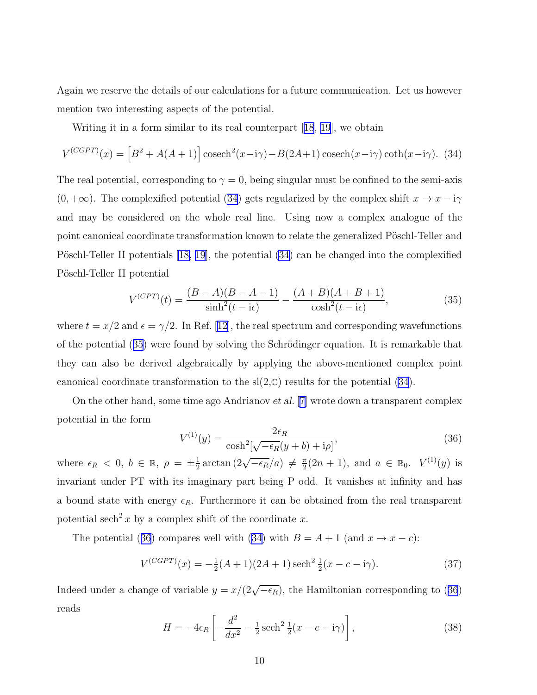<span id="page-9-0"></span>Again we reserve the details of our calculations for a future communication. Let us however mention two interesting aspects of the potential.

Writing it in a form similar to its real counterpart[[18](#page-13-0), [19](#page-13-0)], we obtain

$$
V^{(CGPT)}(x) = [B2 + A(A + 1)] \cosech2(x - i\gamma) - B(2A + 1) \cosech(x - i\gamma) \coth(x - i\gamma). (34)
$$

The real potential, corresponding to  $\gamma = 0$ , being singular must be confined to the semi-axis  $(0, +\infty)$ . The complexified potential (34) gets regularized by the complex shift  $x \to x - i\gamma$ and may be considered on the whole real line. Using now a complex analogue of the point canonical coordinate transformation known to relate the generalized Pöschl-Teller and Pöschl-TellerII potentials  $[18, 19]$  $[18, 19]$  $[18, 19]$ , the potential  $(34)$  can be changed into the complexified Pöschl-Teller II potential

$$
V^{(CPT)}(t) = \frac{(B-A)(B-A-1)}{\sinh^2(t-\mathrm{i}\epsilon)} - \frac{(A+B)(A+B+1)}{\cosh^2(t-\mathrm{i}\epsilon)},
$$
\n(35)

where $t = x/2$  and  $\epsilon = \gamma/2$ . In Ref. [[12\]](#page-12-0), the real spectrum and corresponding wavefunctions of the potential (35) were found by solving the Schrödinger equation. It is remarkable that they can also be derived algebraically by applying the above-mentioned complex point canonical coordinate transformation to the  $sl(2,\mathbb{C})$  results for the potential (34).

On the other hand, some time ago Andrianov et al. [[7\]](#page-12-0) wrote down a transparent complex potential in the form

$$
V^{(1)}(y) = \frac{2\epsilon_R}{\cosh^2[\sqrt{-\epsilon_R}(y+b) + i\rho]},
$$
\n(36)

where  $\epsilon_R$  < 0,  $b \in \mathbb{R}, \ \rho = \pm \frac{1}{2}$  $\frac{1}{2} \arctan \left( 2 \sqrt{-\epsilon_R}/a \right) \neq \frac{\pi}{2}$  $\frac{\pi}{2}(2n+1)$ , and  $a \in \mathbb{R}_0$ .  $V^{(1)}(y)$  is invariant under PT with its imaginary part being P odd. It vanishes at infinity and has a bound state with energy  $\epsilon_R$ . Furthermore it can be obtained from the real transparent potential sech<sup>2</sup> x by a complex shift of the coordinate x.

The potential (36) compares well with (34) with  $B = A + 1$  (and  $x \to x - c$ ):

$$
V^{(CGPT)}(x) = -\frac{1}{2}(A+1)(2A+1)\operatorname{sech}^2\frac{1}{2}(x-c-i\gamma).
$$
 (37)

Indeed under a change of variable  $y = x/(2\sqrt{-\epsilon_R})$ , the Hamiltonian corresponding to (36) reads

$$
H = -4\epsilon_R \left[ -\frac{d^2}{dx^2} - \frac{1}{2} \operatorname{sech}^2 \frac{1}{2} (x - c - i\gamma) \right],
$$
 (38)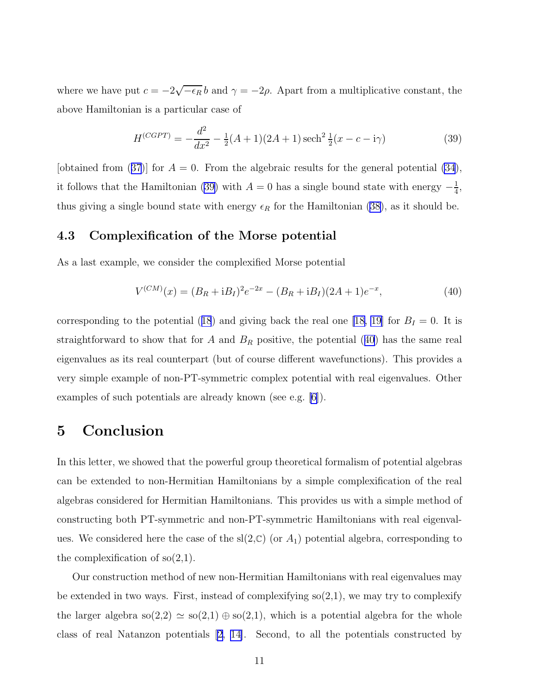where we have put  $c = -2\sqrt{-\epsilon_R} b$  and  $\gamma = -2\rho$ . Apart from a multiplicative constant, the above Hamiltonian is a particular case of

$$
H^{(CGPT)} = -\frac{d^2}{dx^2} - \frac{1}{2}(A+1)(2A+1)\operatorname{sech}^2\frac{1}{2}(x-c-i\gamma)
$$
 (39)

[obtainedfrom ([37](#page-9-0))] for  $A = 0$ . From the algebraic results for the general potential [\(34](#page-9-0)), it follows that the Hamiltonian (39) with  $A = 0$  has a single bound state with energy  $-\frac{1}{4}$  $\frac{1}{4}$ , thus giving a single bound state with energy  $\epsilon_R$  for the Hamiltonian [\(38\)](#page-9-0), as it should be.

#### 4.3 Complexification of the Morse potential

As a last example, we consider the complexified Morse potential

$$
V^{(CM)}(x) = (B_R + iB_I)^2 e^{-2x} - (B_R + iB_I)(2A + 1)e^{-x},
$$
\n(40)

correspondingto the potential ([18](#page-5-0)) and giving back the real one [\[18, 19\]](#page-13-0) for  $B_I = 0$ . It is straightforward to show that for A and  $B_R$  positive, the potential (40) has the same real eigenvalues as its real counterpart (but of course different wavefunctions). This provides a very simple example of non-PT-symmetric complex potential with real eigenvalues. Other examples of such potentials are already known (see e.g. [\[6](#page-12-0)]).

# 5 Conclusion

In this letter, we showed that the powerful group theoretical formalism of potential algebras can be extended to non-Hermitian Hamiltonians by a simple complexification of the real algebras considered for Hermitian Hamiltonians. This provides us with a simple method of constructing both PT-symmetric and non-PT-symmetric Hamiltonians with real eigenvalues. We considered here the case of the sl $(2,\mathbb{C})$  (or  $A_1$ ) potential algebra, corresponding to the complexification of  $\text{so}(2,1)$ .

Our construction method of new non-Hermitian Hamiltonians with real eigenvalues may be extended in two ways. First, instead of complexifying  $\mathfrak{so}(2,1)$ , we may try to complexify the larger algebra so(2,2)  $\simeq$  so(2,1)  $\oplus$  so(2,1), which is a potential algebra for the whole class of real Natanzon potentials [\[2, 14\]](#page-12-0). Second, to all the potentials constructed by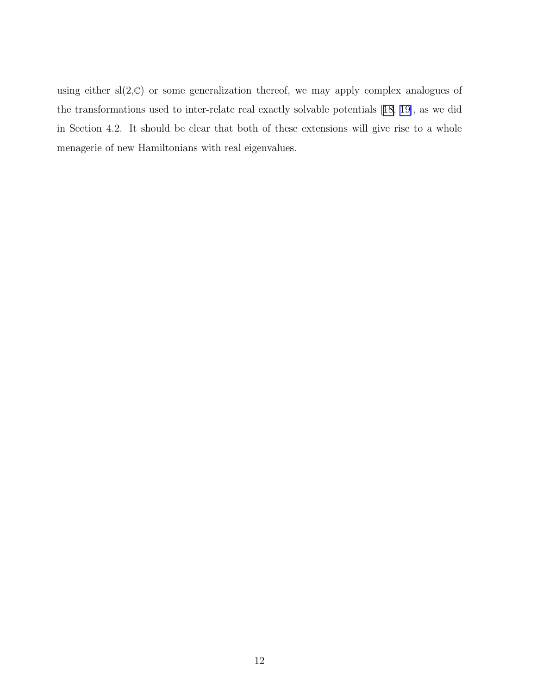using either  $sl(2,\mathbb{C})$  or some generalization thereof, we may apply complex analogues of the transformations used to inter-relate real exactly solvable potentials [\[18, 19\]](#page-13-0), as we did in Section 4.2. It should be clear that both of these extensions will give rise to a whole menagerie of new Hamiltonians with real eigenvalues.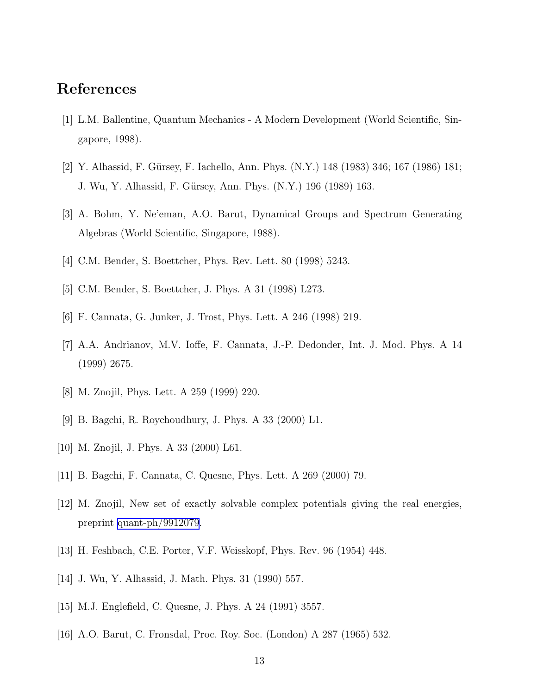## <span id="page-12-0"></span>References

- [1] L.M. Ballentine, Quantum Mechanics A Modern Development (World Scientific, Singapore, 1998).
- [2] Y. Alhassid, F. Gürsey, F. Iachello, Ann. Phys. (N.Y.) 148 (1983) 346; 167 (1986) 181; J. Wu, Y. Alhassid, F. G¨ursey, Ann. Phys. (N.Y.) 196 (1989) 163.
- [3] A. Bohm, Y. Ne'eman, A.O. Barut, Dynamical Groups and Spectrum Generating Algebras (World Scientific, Singapore, 1988).
- [4] C.M. Bender, S. Boettcher, Phys. Rev. Lett. 80 (1998) 5243.
- [5] C.M. Bender, S. Boettcher, J. Phys. A 31 (1998) L273.
- [6] F. Cannata, G. Junker, J. Trost, Phys. Lett. A 246 (1998) 219.
- [7] A.A. Andrianov, M.V. Ioffe, F. Cannata, J.-P. Dedonder, Int. J. Mod. Phys. A 14 (1999) 2675.
- [8] M. Znojil, Phys. Lett. A 259 (1999) 220.
- [9] B. Bagchi, R. Roychoudhury, J. Phys. A 33 (2000) L1.
- [10] M. Znojil, J. Phys. A 33 (2000) L61.
- [11] B. Bagchi, F. Cannata, C. Quesne, Phys. Lett. A 269 (2000) 79.
- [12] M. Znojil, New set of exactly solvable complex potentials giving the real energies, preprint [quant-ph/9912079](http://arxiv.org/abs/quant-ph/9912079).
- [13] H. Feshbach, C.E. Porter, V.F. Weisskopf, Phys. Rev. 96 (1954) 448.
- [14] J. Wu, Y. Alhassid, J. Math. Phys. 31 (1990) 557.
- [15] M.J. Englefield, C. Quesne, J. Phys. A 24 (1991) 3557.
- [16] A.O. Barut, C. Fronsdal, Proc. Roy. Soc. (London) A 287 (1965) 532.